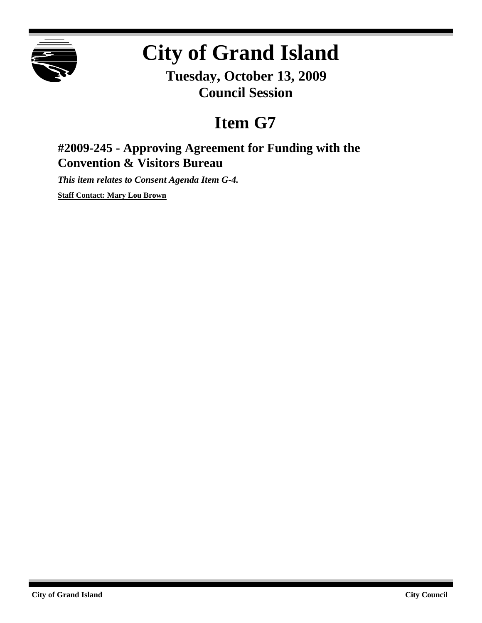

# **City of Grand Island**

**Tuesday, October 13, 2009 Council Session**

## **Item G7**

### **#2009-245 - Approving Agreement for Funding with the Convention & Visitors Bureau**

*This item relates to Consent Agenda Item G-4.*

**Staff Contact: Mary Lou Brown**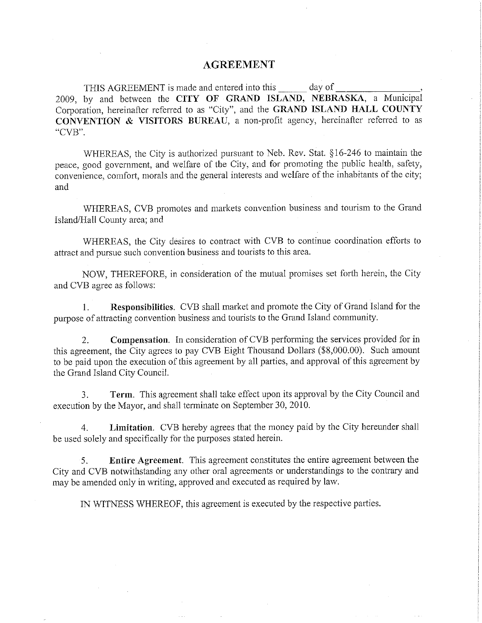#### **AGREEMENT**

THIS AGREEMENT is made and entered into this \_\_\_\_\_\_ day of 2009, by and between the CITY OF GRAND ISLAND, NEBRASKA, a Municipal Corporation, hereinafter referred to as "City", and the GRAND ISLAND HALL COUNTY CONVENTION & VISITORS BUREAU, a non-profit agency, hereinafter referred to as "CVB".

WHEREAS, the City is authorized pursuant to Neb. Rev. Stat. §16-246 to maintain the peace, good government, and welfare of the City, and for promoting the public health, safety, convenience, comfort, morals and the general interests and welfare of the inhabitants of the city; and

WHEREAS, CVB promotes and markets convention business and tourism to the Grand Island/Hall County area; and

WHEREAS, the City desires to contract with CVB to continue coordination efforts to attract and pursue such convention business and tourists to this area.

NOW, THEREFORE, in consideration of the mutual promises set forth herein, the City and CVB agree as follows:

Responsibilities. CVB shall market and promote the City of Grand Island for the  $1<sub>1</sub>$ purpose of attracting convention business and tourists to the Grand Island community.

Compensation. In consideration of CVB performing the services provided for in  $\overline{2}$ . this agreement, the City agrees to pay CVB Eight Thousand Dollars (\$8,000.00). Such amount to be paid upon the execution of this agreement by all parties, and approval of this agreement by the Grand Island City Council.

Term. This agreement shall take effect upon its approval by the City Council and 3. execution by the Mayor, and shall terminate on September 30, 2010.

Limitation. CVB hereby agrees that the money paid by the City hereunder shall  $\overline{4}$ be used solely and specifically for the purposes stated herein.

Entire Agreement. This agreement constitutes the entire agreement between the 5. City and CVB notwithstanding any other oral agreements or understandings to the contrary and may be amended only in writing, approved and executed as required by law.

IN WITNESS WHEREOF, this agreement is executed by the respective parties.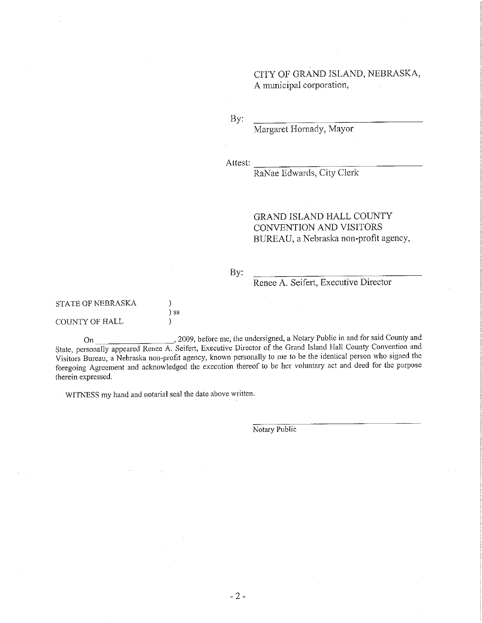CITY OF GRAND ISLAND, NEBRASKA, A municipal corporation,

By:

Margaret Hornady, Mayor

Attest:

RaNae Edwards, City Clerk

#### **GRAND ISLAND HALL COUNTY** CONVENTION AND VISITORS BUREAU, a Nebraska non-profit agency,

By:

#### Renee A. Seifert, Executive Director

#### **STATE OF NEBRASKA**

#### COUNTY OF HALL

2009, before me, the undersigned, a Notary Public in and for said County and On State, personally appeared Renee A. Seifert, Executive Director of the Grand Island Hall County Convention and Visitors Bureau, a Nebraska non-profit agency, known personally to me to be the identical person who signed the foregoing Agreement and acknowledged the execution thereof to be her voluntary act and deed for the purpose therein expressed.

WITNESS my hand and notarial seal the date above written.

) ) ss

 $\mathcal{E}$ 

Notary Public